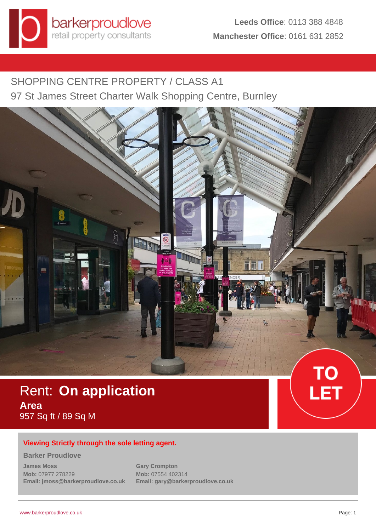SHOPPING CENTRE PROPERTY / CLASS A1 97 St James Street Charter Walk Shopping Centre, Burnley



# Rent: **On application Area** 957 Sq ft / 89 Sq M



## **Viewing Strictly through the sole letting agent.**

## **Barker Proudlove**

**James Moss Mob:** 07977 278229 **Email: jmoss@barkerproudlove.co.uk** **Gary Crompton Mob:** 07554 402314 **Email: gary@barkerproudlove.co.uk**